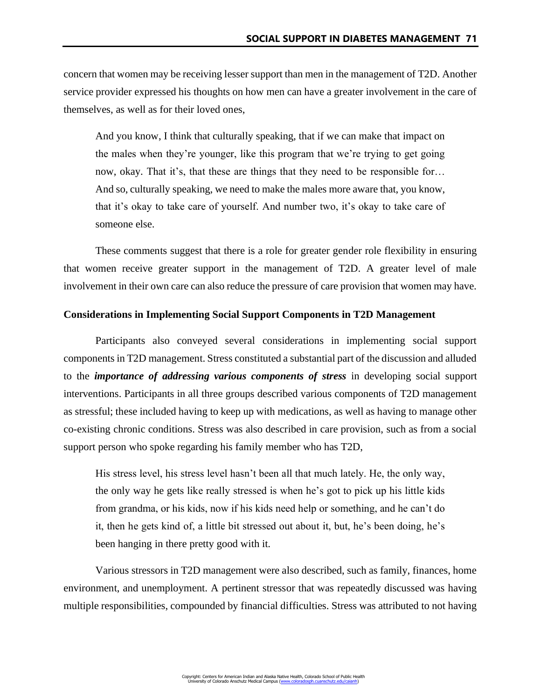concern that women may be receiving lesser support than men in the management of T2D. Another service provider expressed his thoughts on how men can have a greater involvement in the care of themselves, as well as for their loved ones,

And you know, I think that culturally speaking, that if we can make that impact on the males when they're younger, like this program that we're trying to get going now, okay. That it's, that these are things that they need to be responsible for… And so, culturally speaking, we need to make the males more aware that, you know, that it's okay to take care of yourself. And number two, it's okay to take care of someone else.

These comments suggest that there is a role for greater gender role flexibility in ensuring that women receive greater support in the management of T2D. A greater level of male involvement in their own care can also reduce the pressure of care provision that women may have.

### **Considerations in Implementing Social Support Components in T2D Management**

Participants also conveyed several considerations in implementing social support components in T2D management. Stress constituted a substantial part of the discussion and alluded to the *importance of addressing various components of stress* in developing social support interventions. Participants in all three groups described various components of T2D management as stressful; these included having to keep up with medications, as well as having to manage other co-existing chronic conditions. Stress was also described in care provision, such as from a social support person who spoke regarding his family member who has T2D,

His stress level, his stress level hasn't been all that much lately. He, the only way, the only way he gets like really stressed is when he's got to pick up his little kids from grandma, or his kids, now if his kids need help or something, and he can't do it, then he gets kind of, a little bit stressed out about it, but, he's been doing, he's been hanging in there pretty good with it.

Various stressors in T2D management were also described, such as family, finances, home environment, and unemployment. A pertinent stressor that was repeatedly discussed was having multiple responsibilities, compounded by financial difficulties. Stress was attributed to not having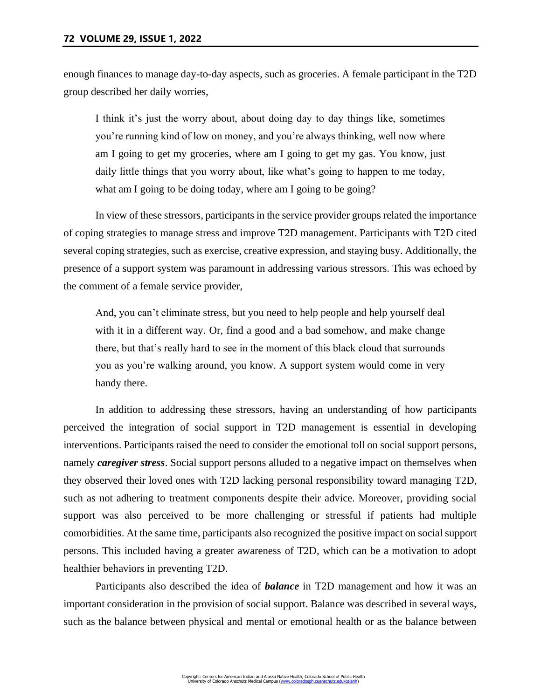enough finances to manage day-to-day aspects, such as groceries. A female participant in the T2D group described her daily worries,

I think it's just the worry about, about doing day to day things like, sometimes you're running kind of low on money, and you're always thinking, well now where am I going to get my groceries, where am I going to get my gas. You know, just daily little things that you worry about, like what's going to happen to me today, what am I going to be doing today, where am I going to be going?

In view of these stressors, participants in the service provider groups related the importance of coping strategies to manage stress and improve T2D management. Participants with T2D cited several coping strategies, such as exercise, creative expression, and staying busy. Additionally, the presence of a support system was paramount in addressing various stressors. This was echoed by the comment of a female service provider,

And, you can't eliminate stress, but you need to help people and help yourself deal with it in a different way. Or, find a good and a bad somehow, and make change there, but that's really hard to see in the moment of this black cloud that surrounds you as you're walking around, you know. A support system would come in very handy there.

In addition to addressing these stressors, having an understanding of how participants perceived the integration of social support in T2D management is essential in developing interventions. Participants raised the need to consider the emotional toll on social support persons, namely *caregiver stress*. Social support persons alluded to a negative impact on themselves when they observed their loved ones with T2D lacking personal responsibility toward managing T2D, such as not adhering to treatment components despite their advice. Moreover, providing social support was also perceived to be more challenging or stressful if patients had multiple comorbidities. At the same time, participants also recognized the positive impact on social support persons. This included having a greater awareness of T2D, which can be a motivation to adopt healthier behaviors in preventing T2D.

Participants also described the idea of *balance* in T2D management and how it was an important consideration in the provision of social support. Balance was described in several ways, such as the balance between physical and mental or emotional health or as the balance between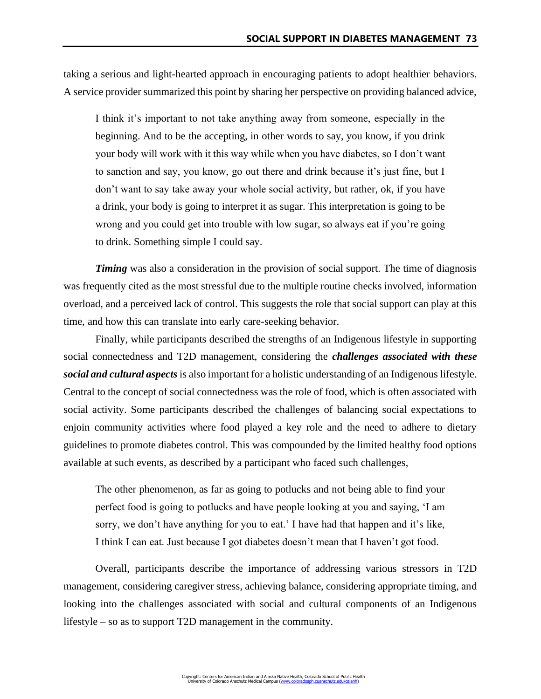taking a serious and light-hearted approach in encouraging patients to adopt healthier behaviors. A service provider summarized this point by sharing her perspective on providing balanced advice,

I think it's important to not take anything away from someone, especially in the beginning. And to be the accepting, in other words to say, you know, if you drink your body will work with it this way while when you have diabetes, so I don't want to sanction and say, you know, go out there and drink because it's just fine, but I don't want to say take away your whole social activity, but rather, ok, if you have a drink, your body is going to interpret it as sugar. This interpretation is going to be wrong and you could get into trouble with low sugar, so always eat if you're going to drink. Something simple I could say.

*Timing* was also a consideration in the provision of social support. The time of diagnosis was frequently cited as the most stressful due to the multiple routine checks involved, information overload, and a perceived lack of control. This suggests the role that social support can play at this time, and how this can translate into early care-seeking behavior.

Finally, while participants described the strengths of an Indigenous lifestyle in supporting social connectedness and T2D management, considering the *challenges associated with these social and cultural aspects* is also important for a holistic understanding of an Indigenous lifestyle. Central to the concept of social connectedness was the role of food, which is often associated with social activity. Some participants described the challenges of balancing social expectations to enjoin community activities where food played a key role and the need to adhere to dietary guidelines to promote diabetes control. This was compounded by the limited healthy food options available at such events, as described by a participant who faced such challenges,

The other phenomenon, as far as going to potlucks and not being able to find your perfect food is going to potlucks and have people looking at you and saying, 'I am sorry, we don't have anything for you to eat.' I have had that happen and it's like, I think I can eat. Just because I got diabetes doesn't mean that I haven't got food.

Overall, participants describe the importance of addressing various stressors in T2D management, considering caregiver stress, achieving balance, considering appropriate timing, and looking into the challenges associated with social and cultural components of an Indigenous lifestyle – so as to support T2D management in the community.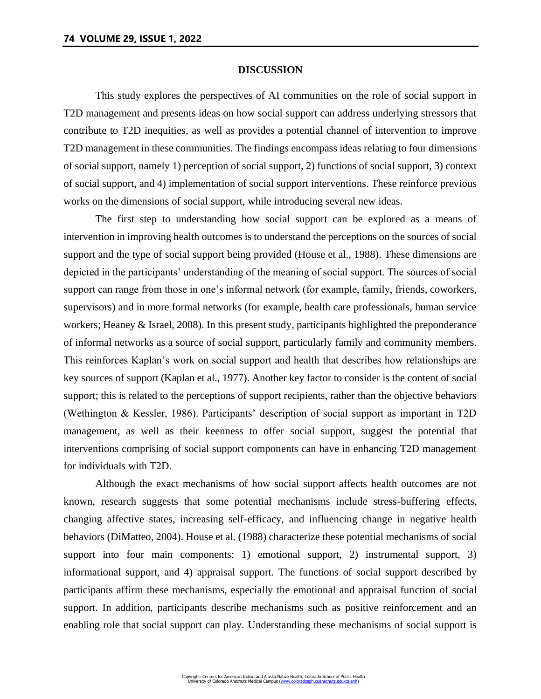### **DISCUSSION**

This study explores the perspectives of AI communities on the role of social support in T2D management and presents ideas on how social support can address underlying stressors that contribute to T2D inequities, as well as provides a potential channel of intervention to improve T2D management in these communities. The findings encompass ideas relating to four dimensions of social support, namely 1) perception of social support, 2) functions of social support, 3) context of social support, and 4) implementation of social support interventions. These reinforce previous works on the dimensions of social support, while introducing several new ideas.

The first step to understanding how social support can be explored as a means of intervention in improving health outcomes is to understand the perceptions on the sources of social support and the type of social support being provided (House et al., 1988). These dimensions are depicted in the participants' understanding of the meaning of social support. The sources of social support can range from those in one's informal network (for example, family, friends, coworkers, supervisors) and in more formal networks (for example, health care professionals, human service workers; Heaney & Israel, 2008). In this present study, participants highlighted the preponderance of informal networks as a source of social support, particularly family and community members. This reinforces Kaplan's work on social support and health that describes how relationships are key sources of support (Kaplan et al., 1977). Another key factor to consider is the content of social support; this is related to the perceptions of support recipients, rather than the objective behaviors (Wethington & Kessler, 1986). Participants' description of social support as important in T2D management, as well as their keenness to offer social support, suggest the potential that interventions comprising of social support components can have in enhancing T2D management for individuals with T2D.

Although the exact mechanisms of how social support affects health outcomes are not known, research suggests that some potential mechanisms include stress-buffering effects, changing affective states, increasing self-efficacy, and influencing change in negative health behaviors (DiMatteo, 2004). House et al. (1988) characterize these potential mechanisms of social support into four main components: 1) emotional support, 2) instrumental support, 3) informational support, and 4) appraisal support. The functions of social support described by participants affirm these mechanisms, especially the emotional and appraisal function of social support. In addition, participants describe mechanisms such as positive reinforcement and an enabling role that social support can play. Understanding these mechanisms of social support is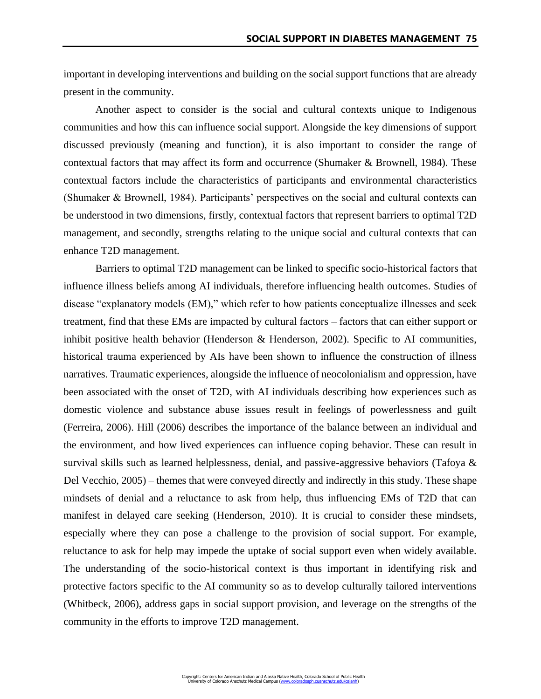important in developing interventions and building on the social support functions that are already present in the community.

Another aspect to consider is the social and cultural contexts unique to Indigenous communities and how this can influence social support. Alongside the key dimensions of support discussed previously (meaning and function), it is also important to consider the range of contextual factors that may affect its form and occurrence (Shumaker & Brownell, 1984). These contextual factors include the characteristics of participants and environmental characteristics (Shumaker & Brownell, 1984). Participants' perspectives on the social and cultural contexts can be understood in two dimensions, firstly, contextual factors that represent barriers to optimal T2D management, and secondly, strengths relating to the unique social and cultural contexts that can enhance T2D management.

Barriers to optimal T2D management can be linked to specific socio-historical factors that influence illness beliefs among AI individuals, therefore influencing health outcomes. Studies of disease "explanatory models (EM)," which refer to how patients conceptualize illnesses and seek treatment, find that these EMs are impacted by cultural factors – factors that can either support or inhibit positive health behavior (Henderson & Henderson, 2002). Specific to AI communities, historical trauma experienced by AIs have been shown to influence the construction of illness narratives. Traumatic experiences, alongside the influence of neocolonialism and oppression, have been associated with the onset of T2D, with AI individuals describing how experiences such as domestic violence and substance abuse issues result in feelings of powerlessness and guilt (Ferreira, 2006). Hill (2006) describes the importance of the balance between an individual and the environment, and how lived experiences can influence coping behavior. These can result in survival skills such as learned helplessness, denial, and passive-aggressive behaviors (Tafoya & Del Vecchio, 2005) – themes that were conveyed directly and indirectly in this study. These shape mindsets of denial and a reluctance to ask from help, thus influencing EMs of T2D that can manifest in delayed care seeking (Henderson, 2010). It is crucial to consider these mindsets, especially where they can pose a challenge to the provision of social support. For example, reluctance to ask for help may impede the uptake of social support even when widely available. The understanding of the socio-historical context is thus important in identifying risk and protective factors specific to the AI community so as to develop culturally tailored interventions (Whitbeck, 2006), address gaps in social support provision, and leverage on the strengths of the community in the efforts to improve T2D management.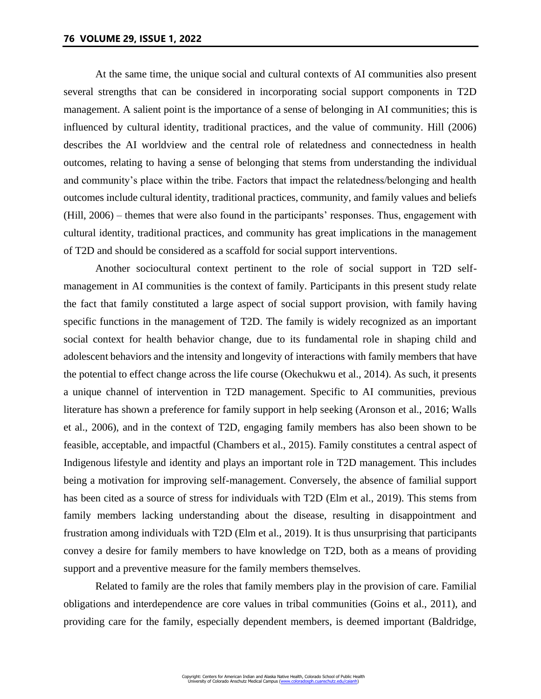At the same time, the unique social and cultural contexts of AI communities also present several strengths that can be considered in incorporating social support components in T2D management. A salient point is the importance of a sense of belonging in AI communities; this is influenced by cultural identity, traditional practices, and the value of community. Hill (2006) describes the AI worldview and the central role of relatedness and connectedness in health outcomes, relating to having a sense of belonging that stems from understanding the individual and community's place within the tribe. Factors that impact the relatedness/belonging and health outcomes include cultural identity, traditional practices, community, and family values and beliefs (Hill, 2006) – themes that were also found in the participants' responses. Thus, engagement with cultural identity, traditional practices, and community has great implications in the management of T2D and should be considered as a scaffold for social support interventions.

Another sociocultural context pertinent to the role of social support in T2D selfmanagement in AI communities is the context of family. Participants in this present study relate the fact that family constituted a large aspect of social support provision, with family having specific functions in the management of T2D. The family is widely recognized as an important social context for health behavior change, due to its fundamental role in shaping child and adolescent behaviors and the intensity and longevity of interactions with family members that have the potential to effect change across the life course (Okechukwu et al., 2014). As such, it presents a unique channel of intervention in T2D management. Specific to AI communities, previous literature has shown a preference for family support in help seeking (Aronson et al., 2016; Walls et al., 2006), and in the context of T2D, engaging family members has also been shown to be feasible, acceptable, and impactful (Chambers et al., 2015). Family constitutes a central aspect of Indigenous lifestyle and identity and plays an important role in T2D management. This includes being a motivation for improving self-management. Conversely, the absence of familial support has been cited as a source of stress for individuals with T2D (Elm et al., 2019). This stems from family members lacking understanding about the disease, resulting in disappointment and frustration among individuals with T2D (Elm et al., 2019). It is thus unsurprising that participants convey a desire for family members to have knowledge on T2D, both as a means of providing support and a preventive measure for the family members themselves.

Related to family are the roles that family members play in the provision of care. Familial obligations and interdependence are core values in tribal communities (Goins et al., 2011), and providing care for the family, especially dependent members, is deemed important (Baldridge,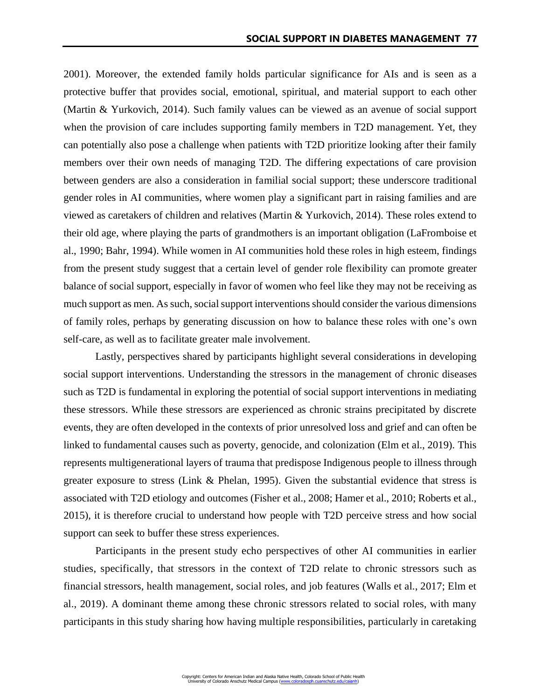2001). Moreover, the extended family holds particular significance for AIs and is seen as a protective buffer that provides social, emotional, spiritual, and material support to each other (Martin & Yurkovich, 2014). Such family values can be viewed as an avenue of social support when the provision of care includes supporting family members in T2D management. Yet, they can potentially also pose a challenge when patients with T2D prioritize looking after their family members over their own needs of managing T2D. The differing expectations of care provision between genders are also a consideration in familial social support; these underscore traditional gender roles in AI communities, where women play a significant part in raising families and are viewed as caretakers of children and relatives (Martin & Yurkovich, 2014). These roles extend to their old age, where playing the parts of grandmothers is an important obligation (LaFromboise et al., 1990; Bahr, 1994). While women in AI communities hold these roles in high esteem, findings from the present study suggest that a certain level of gender role flexibility can promote greater balance of social support, especially in favor of women who feel like they may not be receiving as much support as men. As such, social support interventions should consider the various dimensions of family roles, perhaps by generating discussion on how to balance these roles with one's own self-care, as well as to facilitate greater male involvement.

Lastly, perspectives shared by participants highlight several considerations in developing social support interventions. Understanding the stressors in the management of chronic diseases such as T2D is fundamental in exploring the potential of social support interventions in mediating these stressors. While these stressors are experienced as chronic strains precipitated by discrete events, they are often developed in the contexts of prior unresolved loss and grief and can often be linked to fundamental causes such as poverty, genocide, and colonization (Elm et al., 2019). This represents multigenerational layers of trauma that predispose Indigenous people to illness through greater exposure to stress (Link & Phelan, 1995). Given the substantial evidence that stress is associated with T2D etiology and outcomes (Fisher et al., 2008; Hamer et al., 2010; Roberts et al., 2015), it is therefore crucial to understand how people with T2D perceive stress and how social support can seek to buffer these stress experiences.

Participants in the present study echo perspectives of other AI communities in earlier studies, specifically, that stressors in the context of T2D relate to chronic stressors such as financial stressors, health management, social roles, and job features (Walls et al., 2017; Elm et al., 2019). A dominant theme among these chronic stressors related to social roles, with many participants in this study sharing how having multiple responsibilities, particularly in caretaking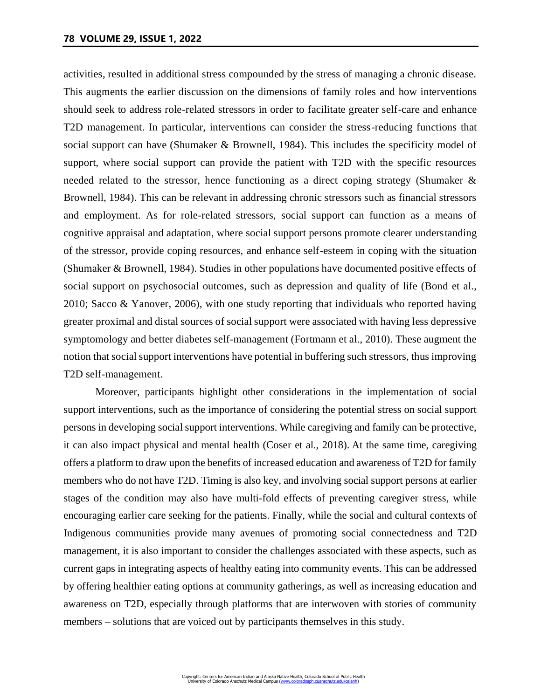activities, resulted in additional stress compounded by the stress of managing a chronic disease. This augments the earlier discussion on the dimensions of family roles and how interventions should seek to address role-related stressors in order to facilitate greater self-care and enhance T2D management. In particular, interventions can consider the stress-reducing functions that social support can have (Shumaker & Brownell, 1984). This includes the specificity model of support, where social support can provide the patient with T2D with the specific resources needed related to the stressor, hence functioning as a direct coping strategy (Shumaker  $\&$ Brownell, 1984). This can be relevant in addressing chronic stressors such as financial stressors and employment. As for role-related stressors, social support can function as a means of cognitive appraisal and adaptation, where social support persons promote clearer understanding of the stressor, provide coping resources, and enhance self-esteem in coping with the situation (Shumaker & Brownell, 1984). Studies in other populations have documented positive effects of social support on psychosocial outcomes, such as depression and quality of life (Bond et al., 2010; Sacco & Yanover, 2006), with one study reporting that individuals who reported having greater proximal and distal sources of social support were associated with having less depressive symptomology and better diabetes self-management (Fortmann et al., 2010). These augment the notion that social support interventions have potential in buffering such stressors, thus improving T2D self-management.

Moreover, participants highlight other considerations in the implementation of social support interventions, such as the importance of considering the potential stress on social support persons in developing social support interventions. While caregiving and family can be protective, it can also impact physical and mental health (Coser et al., 2018). At the same time, caregiving offers a platform to draw upon the benefits of increased education and awareness of T2D for family members who do not have T2D. Timing is also key, and involving social support persons at earlier stages of the condition may also have multi-fold effects of preventing caregiver stress, while encouraging earlier care seeking for the patients. Finally, while the social and cultural contexts of Indigenous communities provide many avenues of promoting social connectedness and T2D management, it is also important to consider the challenges associated with these aspects, such as current gaps in integrating aspects of healthy eating into community events. This can be addressed by offering healthier eating options at community gatherings, as well as increasing education and awareness on T2D, especially through platforms that are interwoven with stories of community members – solutions that are voiced out by participants themselves in this study.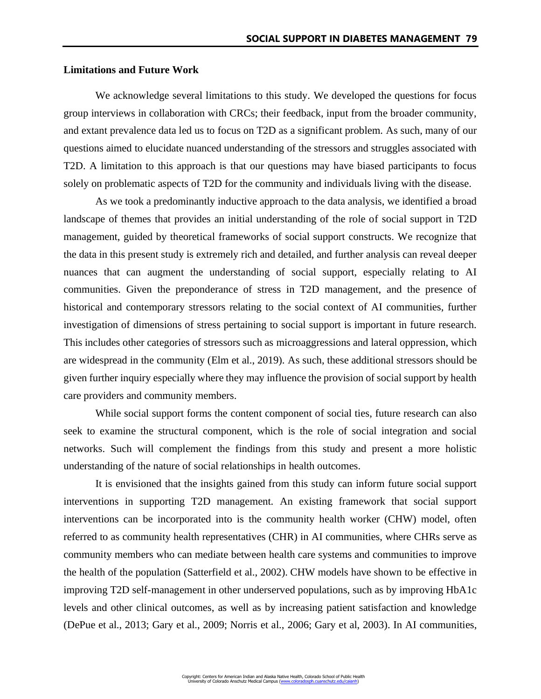## **Limitations and Future Work**

We acknowledge several limitations to this study. We developed the questions for focus group interviews in collaboration with CRCs; their feedback, input from the broader community, and extant prevalence data led us to focus on T2D as a significant problem. As such, many of our questions aimed to elucidate nuanced understanding of the stressors and struggles associated with T2D. A limitation to this approach is that our questions may have biased participants to focus solely on problematic aspects of T2D for the community and individuals living with the disease.

As we took a predominantly inductive approach to the data analysis, we identified a broad landscape of themes that provides an initial understanding of the role of social support in T2D management, guided by theoretical frameworks of social support constructs. We recognize that the data in this present study is extremely rich and detailed, and further analysis can reveal deeper nuances that can augment the understanding of social support, especially relating to AI communities. Given the preponderance of stress in T2D management, and the presence of historical and contemporary stressors relating to the social context of AI communities, further investigation of dimensions of stress pertaining to social support is important in future research. This includes other categories of stressors such as microaggressions and lateral oppression, which are widespread in the community (Elm et al., 2019). As such, these additional stressors should be given further inquiry especially where they may influence the provision of social support by health care providers and community members.

While social support forms the content component of social ties, future research can also seek to examine the structural component, which is the role of social integration and social networks. Such will complement the findings from this study and present a more holistic understanding of the nature of social relationships in health outcomes.

It is envisioned that the insights gained from this study can inform future social support interventions in supporting T2D management. An existing framework that social support interventions can be incorporated into is the community health worker (CHW) model, often referred to as community health representatives (CHR) in AI communities, where CHRs serve as community members who can mediate between health care systems and communities to improve the health of the population (Satterfield et al., 2002). CHW models have shown to be effective in improving T2D self-management in other underserved populations, such as by improving HbA1c levels and other clinical outcomes, as well as by increasing patient satisfaction and knowledge (DePue et al., 2013; Gary et al., 2009; Norris et al., 2006; Gary et al, 2003). In AI communities,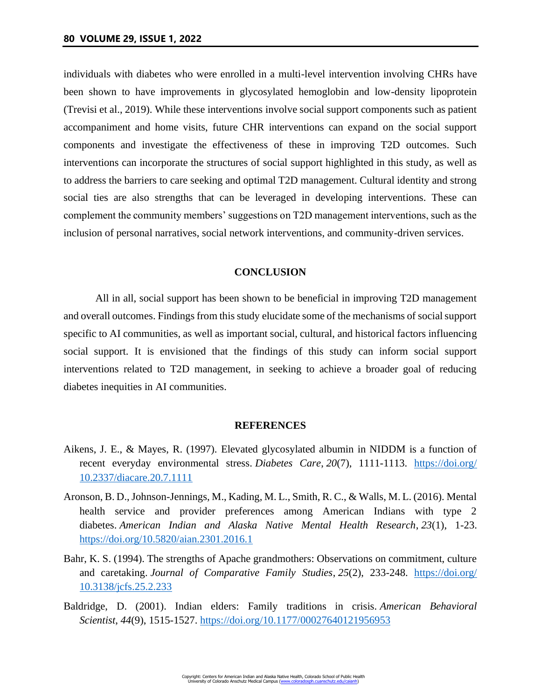individuals with diabetes who were enrolled in a multi-level intervention involving CHRs have been shown to have improvements in glycosylated hemoglobin and low-density lipoprotein (Trevisi et al., 2019). While these interventions involve social support components such as patient accompaniment and home visits, future CHR interventions can expand on the social support components and investigate the effectiveness of these in improving T2D outcomes. Such interventions can incorporate the structures of social support highlighted in this study, as well as to address the barriers to care seeking and optimal T2D management. Cultural identity and strong social ties are also strengths that can be leveraged in developing interventions. These can complement the community members' suggestions on T2D management interventions, such as the inclusion of personal narratives, social network interventions, and community-driven services.

### **CONCLUSION**

All in all, social support has been shown to be beneficial in improving T2D management and overall outcomes. Findings from this study elucidate some of the mechanisms of social support specific to AI communities, as well as important social, cultural, and historical factors influencing social support. It is envisioned that the findings of this study can inform social support interventions related to T2D management, in seeking to achieve a broader goal of reducing diabetes inequities in AI communities.

### **REFERENCES**

- Aikens, J. E., & Mayes, R. (1997). Elevated glycosylated albumin in NIDDM is a function of recent everyday environmental stress. *Diabetes Care*, *20*(7), 1111-1113. [https://doi.org/](https://doi.org/10.2337/diacare.20.7.1111) [10.2337/diacare.20.7.1111](https://doi.org/10.2337/diacare.20.7.1111)
- Aronson, B. D., Johnson-Jennings, M., Kading, M. L., Smith, R. C., & Walls, M. L. (2016). Mental health service and provider preferences among American Indians with type 2 diabetes. *American Indian and Alaska Native Mental Health Research*, *23*(1), 1-23. <https://doi.org/10.5820/aian.2301.2016.1>
- Bahr, K. S. (1994). The strengths of Apache grandmothers: Observations on commitment, culture and caretaking. *Journal of Comparative Family Studies*, *25*(2), 233-248. [https://doi.org/](https://doi.org/10.3138/jcfs.25.2.233) [10.3138/jcfs.25.2.233](https://doi.org/10.3138/jcfs.25.2.233)
- Baldridge, D. (2001). Indian elders: Family traditions in crisis. *American Behavioral Scientist*, *44*(9), 1515-1527.<https://doi.org/10.1177/00027640121956953>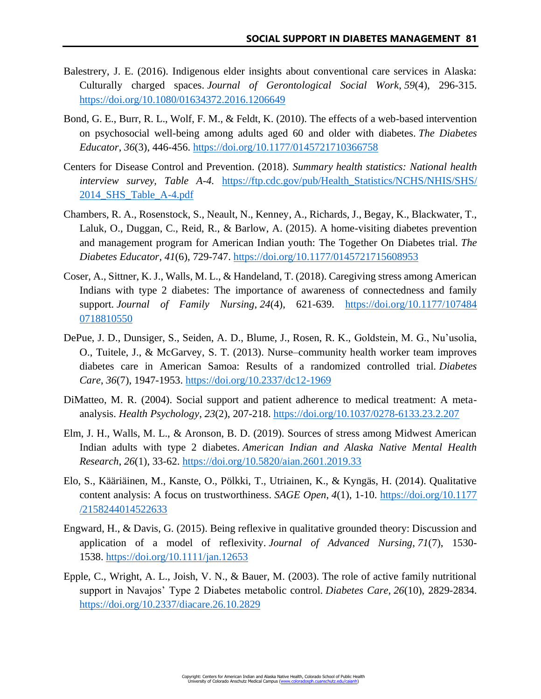- Balestrery, J. E. (2016). Indigenous elder insights about conventional care services in Alaska: Culturally charged spaces. *Journal of Gerontological Social Work*, *59*(4), 296-315. <https://doi.org/10.1080/01634372.2016.1206649>
- Bond, G. E., Burr, R. L., Wolf, F. M., & Feldt, K. (2010). The effects of a web-based intervention on psychosocial well-being among adults aged 60 and older with diabetes. *The Diabetes Educator*, *36*(3), 446-456. [https://doi.org/10.1177/0145721710366758](https://doi.org/10.1177%2F0145721710366758)
- Centers for Disease Control and Prevention. (2018). *Summary health statistics: National health interview survey, Table A-4.* [https://ftp.cdc.gov/pub/Health\\_Statistics/NCHS/NHIS/SHS/](https://ftp.cdc.gov/pub/Health_Statistics/NCHS/NHIS/SHS/2014_SHS_Table_A-4.pdf) [2014\\_SHS\\_Table\\_A-4.pdf](https://ftp.cdc.gov/pub/Health_Statistics/NCHS/NHIS/SHS/2014_SHS_Table_A-4.pdf)
- Chambers, R. A., Rosenstock, S., Neault, N., Kenney, A., Richards, J., Begay, K., Blackwater, T., Laluk, O., Duggan, C., Reid, R., & Barlow, A. (2015). A home-visiting diabetes prevention and management program for American Indian youth: The Together On Diabetes trial. *The Diabetes Educator*, *41*(6), 729-747.<https://doi.org/10.1177/0145721715608953>
- Coser, A., Sittner, K. J., Walls, M. L., & Handeland, T. (2018). Caregiving stress among American Indians with type 2 diabetes: The importance of awareness of connectedness and family support. *Journal of Family Nursing*, *24*(4), 621-639. [https://doi.org/10.1177/107484](https://doi.org/10.1177/1074840718810550) [0718810550](https://doi.org/10.1177/1074840718810550)
- DePue, J. D., Dunsiger, S., Seiden, A. D., Blume, J., Rosen, R. K., Goldstein, M. G., Nu'usolia, O., Tuitele, J., & McGarvey, S. T. (2013). Nurse–community health worker team improves diabetes care in American Samoa: Results of a randomized controlled trial. *Diabetes Care*, *36*(7), 1947-1953.<https://doi.org/10.2337/dc12-1969>
- DiMatteo, M. R. (2004). Social support and patient adherence to medical treatment: A metaanalysis. *Health Psychology*, *23*(2), 207-218.<https://doi.org/10.1037/0278-6133.23.2.207>
- Elm, J. H., Walls, M. L., & Aronson, B. D. (2019). Sources of stress among Midwest American Indian adults with type 2 diabetes. *American Indian and Alaska Native Mental Health Research*, *26*(1), 33-62.<https://doi.org/10.5820/aian.2601.2019.33>
- Elo, S., Kääriäinen, M., Kanste, O., Pölkki, T., Utriainen, K., & Kyngäs, H. (2014). Qualitative content analysis: A focus on trustworthiness. *SAGE Open*, *4*(1), 1-10. [https://doi.org/10.1177](https://doi.org/10.1177/2158244014522633) [/2158244014522633](https://doi.org/10.1177/2158244014522633)
- Engward, H., & Davis, G. (2015). Being reflexive in qualitative grounded theory: Discussion and application of a model of reflexivity. *Journal of Advanced Nursing*, *71*(7), 1530- 1538. <https://doi.org/10.1111/jan.12653>
- Epple, C., Wright, A. L., Joish, V. N., & Bauer, M. (2003). The role of active family nutritional support in Navajos' Type 2 Diabetes metabolic control. *Diabetes Care*, *26*(10), 2829-2834. <https://doi.org/10.2337/diacare.26.10.2829>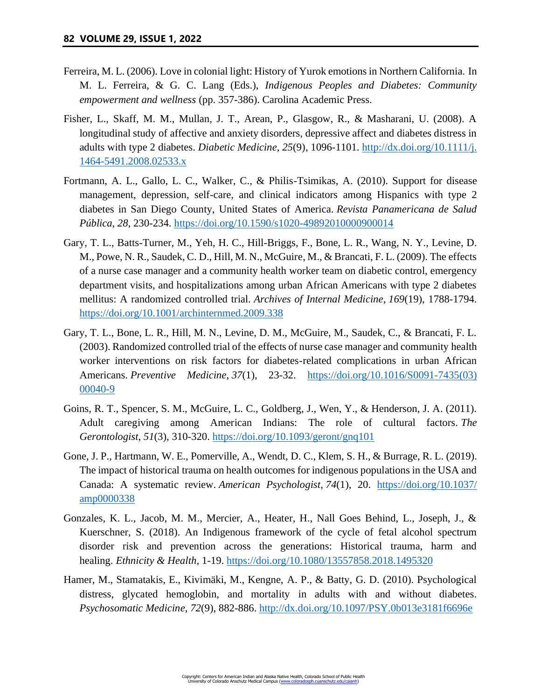- Ferreira, M. L. (2006). Love in colonial light: History of Yurok emotions in Northern California. In M. L. Ferreira, & G. C. Lang (Eds.), *Indigenous Peoples and Diabetes: Community empowerment and wellness* (pp. 357-386). Carolina Academic Press.
- Fisher, L., Skaff, M. M., Mullan, J. T., Arean, P., Glasgow, R., & Masharani, U. (2008). A longitudinal study of affective and anxiety disorders, depressive affect and diabetes distress in adults with type 2 diabetes. *Diabetic Medicine*, *25*(9), 1096-1101. [http://dx.doi.org/10.1111/j.](http://dx.doi.org/10.1111/j.1464-5491.2008.02533.x) [1464-5491.2008.02533.x](http://dx.doi.org/10.1111/j.1464-5491.2008.02533.x)
- Fortmann, A. L., Gallo, L. C., Walker, C., & Philis-Tsimikas, A. (2010). Support for disease management, depression, self-care, and clinical indicators among Hispanics with type 2 diabetes in San Diego County, United States of America. *Revista Panamericana de Salud Pública*, *28*, 230-234.<https://doi.org/10.1590/s1020-49892010000900014>
- Gary, T. L., Batts-Turner, M., Yeh, H. C., Hill-Briggs, F., Bone, L. R., Wang, N. Y., Levine, D. M., Powe, N. R., Saudek, C. D., Hill, M. N., McGuire, M., & Brancati, F. L. (2009). The effects of a nurse case manager and a community health worker team on diabetic control, emergency department visits, and hospitalizations among urban African Americans with type 2 diabetes mellitus: A randomized controlled trial. *Archives of Internal Medicine*, *169*(19), 1788-1794. <https://doi.org/10.1001/archinternmed.2009.338>
- Gary, T. L., Bone, L. R., Hill, M. N., Levine, D. M., McGuire, M., Saudek, C., & Brancati, F. L. (2003). Randomized controlled trial of the effects of nurse case manager and community health worker interventions on risk factors for diabetes-related complications in urban African Americans. *Preventive Medicine*, *37*(1), 23-32. [https://doi.org/10.1016/S0091-7435\(03\)](https://doi.org/10.1016/S0091-7435(03)00040-9) [00040-9](https://doi.org/10.1016/S0091-7435(03)00040-9)
- Goins, R. T., Spencer, S. M., McGuire, L. C., Goldberg, J., Wen, Y., & Henderson, J. A. (2011). Adult caregiving among American Indians: The role of cultural factors. *The Gerontologist*, *51*(3), 310-320.<https://doi.org/10.1093/geront/gnq101>
- Gone, J. P., Hartmann, W. E., Pomerville, A., Wendt, D. C., Klem, S. H., & Burrage, R. L. (2019). The impact of historical trauma on health outcomes for indigenous populations in the USA and Canada: A systematic review. *American Psychologist*, *74*(1), 20. [https://doi.org/10.1037/](https://doi.org/10.1037/amp0000338) [amp0000338](https://doi.org/10.1037/amp0000338)
- Gonzales, K. L., Jacob, M. M., Mercier, A., Heater, H., Nall Goes Behind, L., Joseph, J., & Kuerschner, S. (2018). An Indigenous framework of the cycle of fetal alcohol spectrum disorder risk and prevention across the generations: Historical trauma, harm and healing. *Ethnicity & Health*, 1-19.<https://doi.org/10.1080/13557858.2018.1495320>
- Hamer, M., Stamatakis, E., Kivimäki, M., Kengne, A. P., & Batty, G. D. (2010). Psychological distress, glycated hemoglobin, and mortality in adults with and without diabetes. *Psychosomatic Medicine*, *72*(9), 882-886.<http://dx.doi.org/10.1097/PSY.0b013e3181f6696e>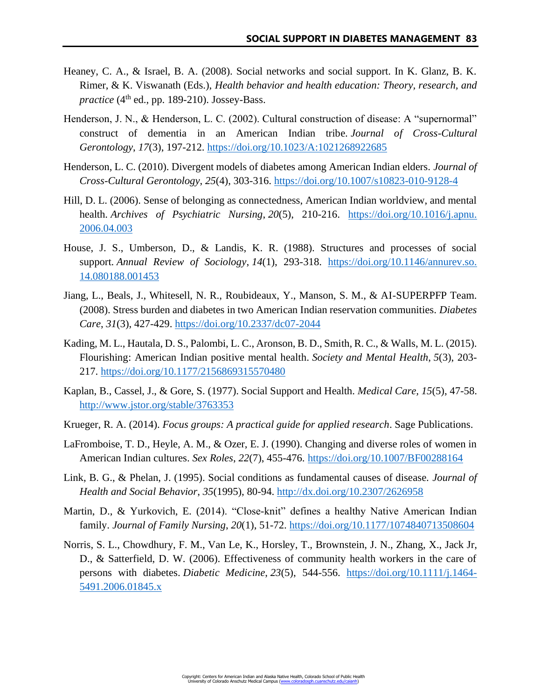- Heaney, C. A., & Israel, B. A. (2008). Social networks and social support. In K. Glanz, B. K. Rimer, & K. Viswanath (Eds.), *Health behavior and health education: Theory, research, and practice* (4th ed., pp. 189-210). Jossey-Bass.
- Henderson, J. N., & Henderson, L. C. (2002). Cultural construction of disease: A "supernormal" construct of dementia in an American Indian tribe. *Journal of Cross-Cultural Gerontology*, *17*(3), 197-212.<https://doi.org/10.1023/A:1021268922685>
- Henderson, L. C. (2010). Divergent models of diabetes among American Indian elders. *Journal of Cross-Cultural Gerontology*, *25*(4), 303-316.<https://doi.org/10.1007/s10823-010-9128-4>
- Hill, D. L. (2006). Sense of belonging as connectedness, American Indian worldview, and mental health. *Archives of Psychiatric Nursing*, *20*(5), 210-216. [https://doi.org/10.1016/j.apnu.](https://doi.org/10.1016/j.apnu.2006.04.003) [2006.04.003](https://doi.org/10.1016/j.apnu.2006.04.003)
- House, J. S., Umberson, D., & Landis, K. R. (1988). Structures and processes of social support. *Annual Review of Sociology*, *14*(1), 293-318. [https://doi.org/10.1146/annurev.so.](https://doi.org/10.1146/annurev.so.14.080188.001453) [14.080188.001453](https://doi.org/10.1146/annurev.so.14.080188.001453)
- Jiang, L., Beals, J., Whitesell, N. R., Roubideaux, Y., Manson, S. M., & AI-SUPERPFP Team. (2008). Stress burden and diabetes in two American Indian reservation communities. *Diabetes Care*, *31*(3), 427-429.<https://doi.org/10.2337/dc07-2044>
- Kading, M. L., Hautala, D. S., Palombi, L. C., Aronson, B. D., Smith, R. C., & Walls, M. L. (2015). Flourishing: American Indian positive mental health. *Society and Mental Health*, *5*(3), 203- 217.<https://doi.org/10.1177/2156869315570480>
- Kaplan, B., Cassel, J., & Gore, S. (1977). Social Support and Health. *Medical Care, 15*(5), 47-58. <http://www.jstor.org/stable/3763353>
- Krueger, R. A. (2014). *Focus groups: A practical guide for applied research*. Sage Publications.
- LaFromboise, T. D., Heyle, A. M., & Ozer, E. J. (1990). Changing and diverse roles of women in American Indian cultures. *Sex Roles*, *22*(7), 455-476.<https://doi.org/10.1007/BF00288164>
- Link, B. G., & Phelan, J. (1995). Social conditions as fundamental causes of disease. *Journal of Health and Social Behavior*, *35*(1995), 80-94.<http://dx.doi.org/10.2307/2626958>
- Martin, D., & Yurkovich, E. (2014). "Close-knit" defines a healthy Native American Indian family. *Journal of Family Nursing*, *20*(1), 51-72. [https://doi.org/10.1177/1074840713508604](https://doi.org/10.1177%2F1074840713508604)
- Norris, S. L., Chowdhury, F. M., Van Le, K., Horsley, T., Brownstein, J. N., Zhang, X., Jack Jr, D., & Satterfield, D. W. (2006). Effectiveness of community health workers in the care of persons with diabetes. *Diabetic Medicine*, *23*(5), 544-556. [https://doi.org/10.1111/j.1464-](https://doi.org/10.1111/j.1464-5491.2006.01845.x) [5491.2006.01845.x](https://doi.org/10.1111/j.1464-5491.2006.01845.x)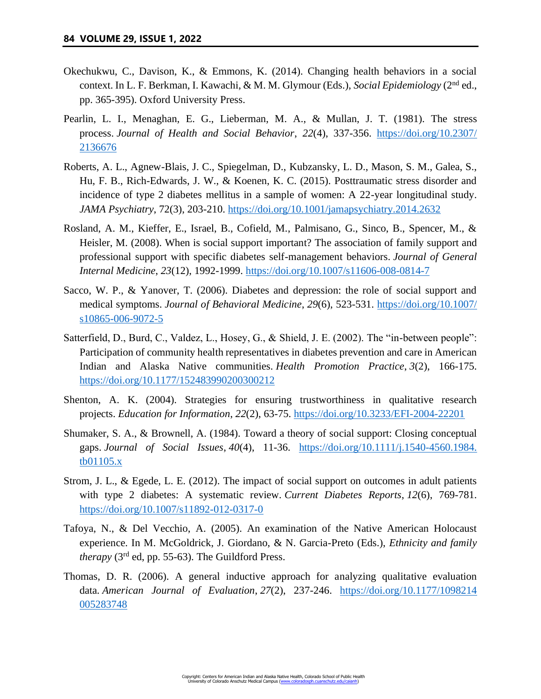- Okechukwu, C., Davison, K., & Emmons, K. (2014). Changing health behaviors in a social context. In L. F. Berkman, I. Kawachi, & M. M. Glymour (Eds.), *Social Epidemiology* (2nd ed., pp. 365-395). Oxford University Press.
- Pearlin, L. I., Menaghan, E. G., Lieberman, M. A., & Mullan, J. T. (1981). The stress process. *Journal of Health and Social Behavior*, *22*(4), 337-356. [https://doi.org/10.2307/](https://doi.org/10.2307/2136676) [2136676](https://doi.org/10.2307/2136676)
- Roberts, A. L., Agnew-Blais, J. C., Spiegelman, D., Kubzansky, L. D., Mason, S. M., Galea, S., Hu, F. B., Rich-Edwards, J. W., & Koenen, K. C. (2015). Posttraumatic stress disorder and incidence of type 2 diabetes mellitus in a sample of women: A 22-year longitudinal study. *JAMA Psychiatry*, 72(3), 203-210.<https://doi.org/10.1001/jamapsychiatry.2014.2632>
- Rosland, A. M., Kieffer, E., Israel, B., Cofield, M., Palmisano, G., Sinco, B., Spencer, M., & Heisler, M. (2008). When is social support important? The association of family support and professional support with specific diabetes self-management behaviors. *Journal of General Internal Medicine*, *23*(12), 1992-1999.<https://doi.org/10.1007/s11606-008-0814-7>
- Sacco, W. P., & Yanover, T. (2006). Diabetes and depression: the role of social support and medical symptoms. *Journal of Behavioral Medicine*, *29*(6), 523-531. [https://doi.org/10.1007/](https://doi.org/10.1007/s10865-006-9072-5) [s10865-006-9072-5](https://doi.org/10.1007/s10865-006-9072-5)
- Satterfield, D., Burd, C., Valdez, L., Hosey, G., & Shield, J. E. (2002). The "in-between people": Participation of community health representatives in diabetes prevention and care in American Indian and Alaska Native communities. *Health Promotion Practice*, *3*(2), 166-175. <https://doi.org/10.1177/152483990200300212>
- Shenton, A. K. (2004). Strategies for ensuring trustworthiness in qualitative research projects. *Education for Information*, *22*(2), 63-75.<https://doi.org/10.3233/EFI-2004-22201>
- Shumaker, S. A., & Brownell, A. (1984). Toward a theory of social support: Closing conceptual gaps. *Journal of Social Issues*, *40*(4), 11-36. [https://doi.org/10.1111/j.1540-4560.1984.](https://doi.org/10.1111/j.1540-4560.1984.tb01105.x) [tb01105.x](https://doi.org/10.1111/j.1540-4560.1984.tb01105.x)
- Strom, J. L., & Egede, L. E. (2012). The impact of social support on outcomes in adult patients with type 2 diabetes: A systematic review. *Current Diabetes Reports*, *12*(6), 769-781. <https://doi.org/10.1007/s11892-012-0317-0>
- Tafoya, N., & Del Vecchio, A. (2005). An examination of the Native American Holocaust experience. In M. McGoldrick, J. Giordano, & N. Garcia-Preto (Eds.), *Ethnicity and family therapy* (3rd ed, pp. 55-63). The Guildford Press.
- Thomas, D. R. (2006). A general inductive approach for analyzing qualitative evaluation data. *American Journal of Evaluation*, *27*(2), 237-246. [https://doi.org/10.1177/1098214](https://doi.org/10.1177/1098214005283748) [005283748](https://doi.org/10.1177/1098214005283748)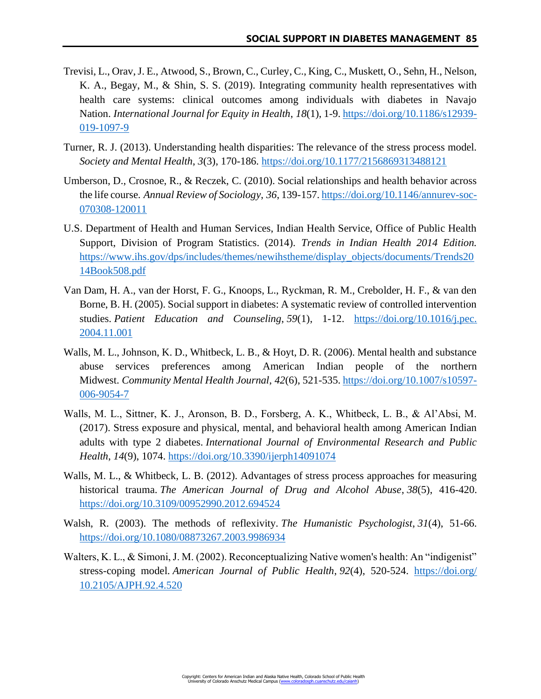- Trevisi, L., Orav, J. E., Atwood, S., Brown, C., Curley, C., King, C., Muskett, O., Sehn, H., Nelson, K. A., Begay, M., & Shin, S. S. (2019). Integrating community health representatives with health care systems: clinical outcomes among individuals with diabetes in Navajo Nation. *International Journal for Equity in Health*, *18*(1), 1-9. [https://doi.org/10.1186/s12939-](https://doi.org/10.1186/s12939-019-1097-9) [019-1097-9](https://doi.org/10.1186/s12939-019-1097-9)
- Turner, R. J. (2013). Understanding health disparities: The relevance of the stress process model. *Society and Mental Health*, *3*(3), 170-186.<https://doi.org/10.1177/2156869313488121>
- Umberson, D., Crosnoe, R., & Reczek, C. (2010). Social relationships and health behavior across the life course. *Annual Review of Sociology*, *36*, 139-157. [https://doi.org/10.1146/annurev-soc-](https://doi.org/10.1146/annurev-soc-070308-120011)[070308-120011](https://doi.org/10.1146/annurev-soc-070308-120011)
- U.S. Department of Health and Human Services, Indian Health Service, Office of Public Health Support, Division of Program Statistics. (2014). *Trends in Indian Health 2014 Edition.*  [https://www.ihs.gov/dps/includes/themes/newihstheme/display\\_objects/documents/Trends20](https://www.ihs.gov/dps/includes/themes/newihstheme/display_objects/documents/Trends2014Book508.pdf) [14Book508.pdf](https://www.ihs.gov/dps/includes/themes/newihstheme/display_objects/documents/Trends2014Book508.pdf)
- Van Dam, H. A., van der Horst, F. G., Knoops, L., Ryckman, R. M., Crebolder, H. F., & van den Borne, B. H. (2005). Social support in diabetes: A systematic review of controlled intervention studies. *Patient Education and Counseling*, *59*(1), 1-12. [https://doi.org/10.1016/j.pec.](https://doi.org/10.1016/j.pec.2004.11.001) [2004.11.001](https://doi.org/10.1016/j.pec.2004.11.001)
- Walls, M. L., Johnson, K. D., Whitbeck, L. B., & Hoyt, D. R. (2006). Mental health and substance abuse services preferences among American Indian people of the northern Midwest. *Community Mental Health Journal*, *42*(6), 521-535. [https://doi.org/10.1007/s10597-](https://doi.org/10.1007/s10597-006-9054-7) [006-9054-7](https://doi.org/10.1007/s10597-006-9054-7)
- Walls, M. L., Sittner, K. J., Aronson, B. D., Forsberg, A. K., Whitbeck, L. B., & Al'Absi, M. (2017). Stress exposure and physical, mental, and behavioral health among American Indian adults with type 2 diabetes. *International Journal of Environmental Research and Public Health*, *14*(9), 1074.<https://doi.org/10.3390/ijerph14091074>
- Walls, M. L., & Whitbeck, L. B. (2012). Advantages of stress process approaches for measuring historical trauma. *The American Journal of Drug and Alcohol Abuse*, *38*(5), 416-420. <https://doi.org/10.3109/00952990.2012.694524>
- Walsh, R. (2003). The methods of reflexivity. *The Humanistic Psychologist*, *31*(4), 51-66. <https://doi.org/10.1080/08873267.2003.9986934>
- Walters, K. L., & Simoni, J. M. (2002). Reconceptualizing Native women's health: An "indigenist" stress-coping model. *American Journal of Public Health*, *92*(4), 520-524. [https://doi.org/](https://doi.org/10.2105/AJPH.92.4.520) [10.2105/AJPH.92.4.520](https://doi.org/10.2105/AJPH.92.4.520)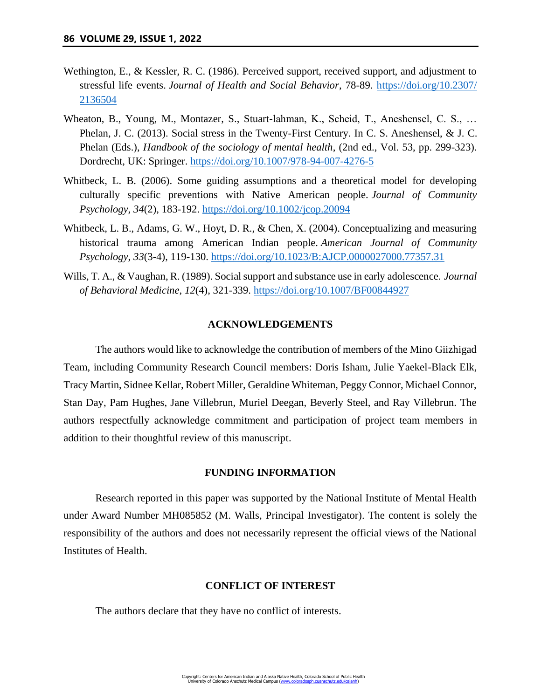- Wethington, E., & Kessler, R. C. (1986). Perceived support, received support, and adjustment to stressful life events. *Journal of Health and Social Behavior*, 78-89. [https://doi.org/10.2307/](https://doi.org/10.2307/2136504) [2136504](https://doi.org/10.2307/2136504)
- Wheaton, B., Young, M., Montazer, S., Stuart-lahman, K., Scheid, T., Aneshensel, C. S., … Phelan, J. C. (2013). Social stress in the Twenty-First Century. In C. S. Aneshensel, & J. C. Phelan (Eds.), *Handbook of the sociology of mental health*, (2nd ed., Vol. 53, pp. 299-323). Dordrecht, UK: Springer.<https://doi.org/10.1007/978-94-007-4276-5>
- Whitbeck, L. B. (2006). Some guiding assumptions and a theoretical model for developing culturally specific preventions with Native American people. *Journal of Community Psychology*, *34*(2), 183-192.<https://doi.org/10.1002/jcop.20094>
- Whitbeck, L. B., Adams, G. W., Hoyt, D. R., & Chen, X. (2004). Conceptualizing and measuring historical trauma among American Indian people. *American Journal of Community Psychology*, *33*(3-4), 119-130.<https://doi.org/10.1023/B:AJCP.0000027000.77357.31>
- Wills, T. A., & Vaughan, R. (1989). Social support and substance use in early adolescence. *Journal of Behavioral Medicine*, *12*(4), 321-339.<https://doi.org/10.1007/BF00844927>

#### **ACKNOWLEDGEMENTS**

The authors would like to acknowledge the contribution of members of the Mino Giizhigad Team, including Community Research Council members: Doris Isham, Julie Yaekel-Black Elk, Tracy Martin, Sidnee Kellar, Robert Miller, Geraldine Whiteman, Peggy Connor, Michael Connor, Stan Day, Pam Hughes, Jane Villebrun, Muriel Deegan, Beverly Steel, and Ray Villebrun. The authors respectfully acknowledge commitment and participation of project team members in addition to their thoughtful review of this manuscript.

# **FUNDING INFORMATION**

Research reported in this paper was supported by the National Institute of Mental Health under Award Number MH085852 (M. Walls, Principal Investigator). The content is solely the responsibility of the authors and does not necessarily represent the official views of the National Institutes of Health.

### **CONFLICT OF INTEREST**

The authors declare that they have no conflict of interests.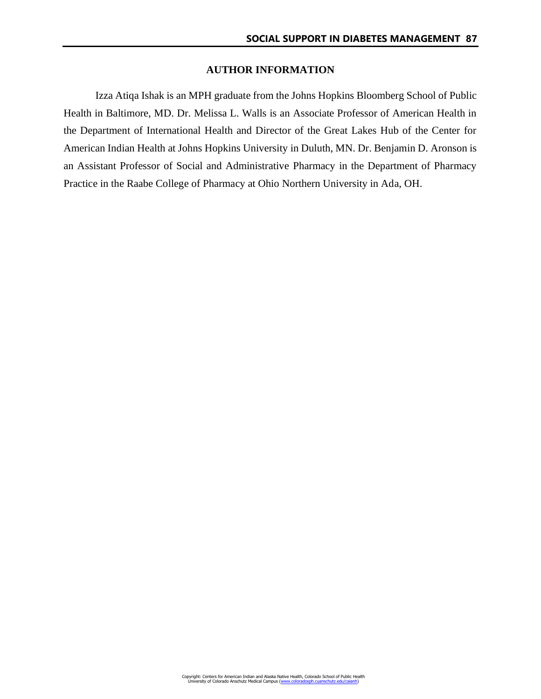## **AUTHOR INFORMATION**

Izza Atiqa Ishak is an MPH graduate from the Johns Hopkins Bloomberg School of Public Health in Baltimore, MD. Dr. Melissa L. Walls is an Associate Professor of American Health in the Department of International Health and Director of the Great Lakes Hub of the Center for American Indian Health at Johns Hopkins University in Duluth, MN. Dr. Benjamin D. Aronson is an Assistant Professor of Social and Administrative Pharmacy in the Department of Pharmacy Practice in the Raabe College of Pharmacy at Ohio Northern University in Ada, OH.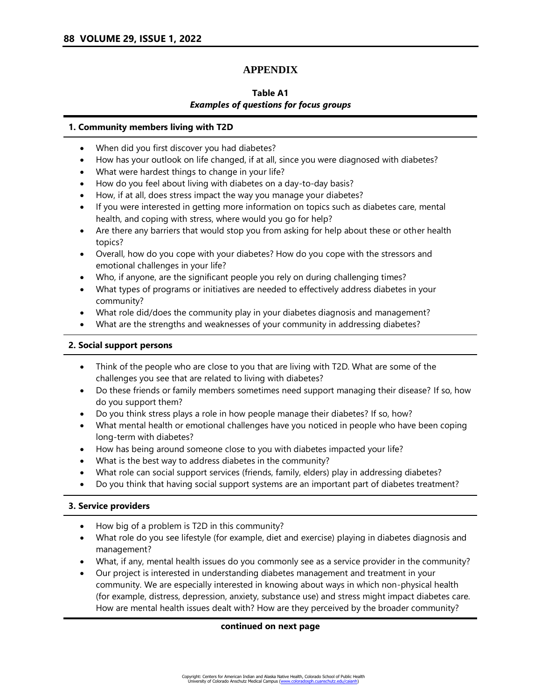# **APPENDIX**

# **Table A1** *Examples of questions for focus groups*

### **1. Community members living with T2D**

- When did you first discover you had diabetes?
- How has your outlook on life changed, if at all, since you were diagnosed with diabetes?
- What were hardest things to change in your life?
- How do you feel about living with diabetes on a day-to-day basis?
- How, if at all, does stress impact the way you manage your diabetes?
- If you were interested in getting more information on topics such as diabetes care, mental health, and coping with stress, where would you go for help?
- Are there any barriers that would stop you from asking for help about these or other health topics?
- Overall, how do you cope with your diabetes? How do you cope with the stressors and emotional challenges in your life?
- Who, if anyone, are the significant people you rely on during challenging times?
- What types of programs or initiatives are needed to effectively address diabetes in your community?
- What role did/does the community play in your diabetes diagnosis and management?
- What are the strengths and weaknesses of your community in addressing diabetes?

# **2. Social support persons**

- Think of the people who are close to you that are living with T2D. What are some of the challenges you see that are related to living with diabetes?
- Do these friends or family members sometimes need support managing their disease? If so, how do you support them?
- Do you think stress plays a role in how people manage their diabetes? If so, how?
- What mental health or emotional challenges have you noticed in people who have been coping long-term with diabetes?
- How has being around someone close to you with diabetes impacted your life?
- What is the best way to address diabetes in the community?
- What role can social support services (friends, family, elders) play in addressing diabetes?
- Do you think that having social support systems are an important part of diabetes treatment?

## **3. Service providers**

- How big of a problem is T2D in this community?
- What role do you see lifestyle (for example, diet and exercise) playing in diabetes diagnosis and management?
- What, if any, mental health issues do you commonly see as a service provider in the community?
- Our project is interested in understanding diabetes management and treatment in your community. We are especially interested in knowing about ways in which non-physical health (for example, distress, depression, anxiety, substance use) and stress might impact diabetes care. How are mental health issues dealt with? How are they perceived by the broader community?

## **continued on next page**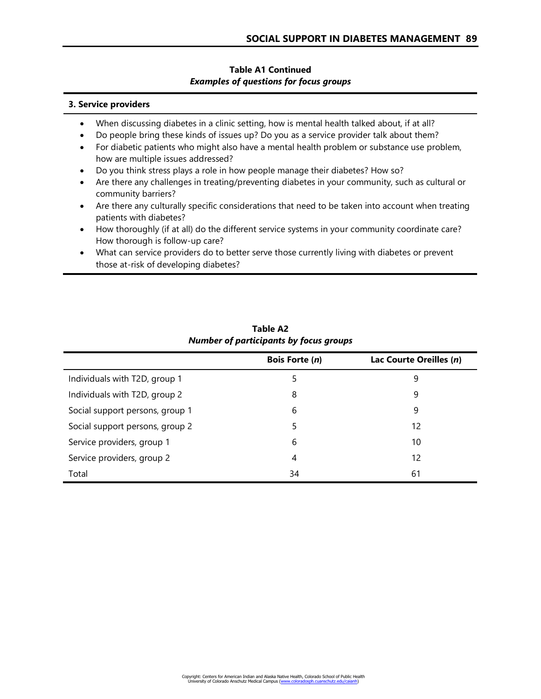# **Table A1 Continued** *Examples of questions for focus groups*

### **3. Service providers**

- When discussing diabetes in a clinic setting, how is mental health talked about, if at all?
- Do people bring these kinds of issues up? Do you as a service provider talk about them?
- For diabetic patients who might also have a mental health problem or substance use problem, how are multiple issues addressed?
- Do you think stress plays a role in how people manage their diabetes? How so?
- Are there any challenges in treating/preventing diabetes in your community, such as cultural or community barriers?
- Are there any culturally specific considerations that need to be taken into account when treating patients with diabetes?
- How thoroughly (if at all) do the different service systems in your community coordinate care? How thorough is follow-up care?
- What can service providers do to better serve those currently living with diabetes or prevent those at-risk of developing diabetes?

|                                 | <b>Bois Forte (n)</b> | Lac Courte Oreilles (n) |
|---------------------------------|-----------------------|-------------------------|
| Individuals with T2D, group 1   | 5                     | 9                       |
| Individuals with T2D, group 2   | 8                     | 9                       |
| Social support persons, group 1 | 6                     | 9                       |
| Social support persons, group 2 | 5                     | 12                      |
| Service providers, group 1      | 6                     | 10                      |
| Service providers, group 2      | 4                     | 12                      |
| Total                           | 34                    | 61                      |

**Table A2** *Number of participants by focus groups*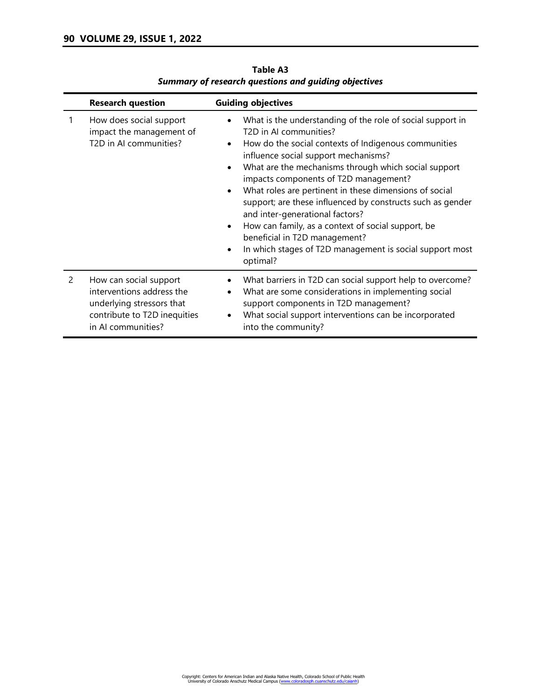|   | <b>Research question</b>                                                                                                               | <b>Guiding objectives</b>                                                                                                                                                                                                                                                                                                                                                                                                                                                                                                                                                                                            |
|---|----------------------------------------------------------------------------------------------------------------------------------------|----------------------------------------------------------------------------------------------------------------------------------------------------------------------------------------------------------------------------------------------------------------------------------------------------------------------------------------------------------------------------------------------------------------------------------------------------------------------------------------------------------------------------------------------------------------------------------------------------------------------|
|   | How does social support<br>impact the management of<br>T2D in AI communities?                                                          | What is the understanding of the role of social support in<br>T2D in AI communities?<br>How do the social contexts of Indigenous communities<br>٠<br>influence social support mechanisms?<br>What are the mechanisms through which social support<br>impacts components of T2D management?<br>What roles are pertinent in these dimensions of social<br>support; are these influenced by constructs such as gender<br>and inter-generational factors?<br>How can family, as a context of social support, be<br>beneficial in T2D management?<br>In which stages of T2D management is social support most<br>optimal? |
| 2 | How can social support<br>interventions address the<br>underlying stressors that<br>contribute to T2D inequities<br>in AI communities? | What barriers in T2D can social support help to overcome?<br>What are some considerations in implementing social<br>support components in T2D management?<br>What social support interventions can be incorporated<br>into the community?                                                                                                                                                                                                                                                                                                                                                                            |

**Table A3** *Summary of research questions and guiding objectives*